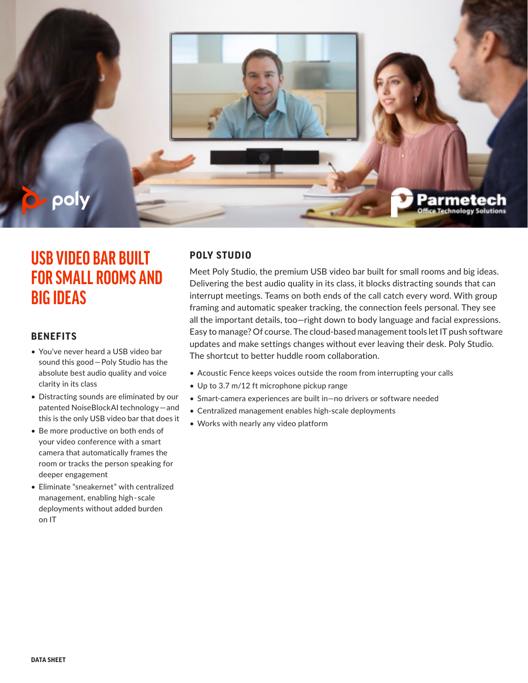

## **USB VIDEO BAR BUILT FOR SMALL ROOMS AND BIG IDEAS**

#### **BENEFITS**

- You've never heard a USB video bar sound this good—Poly Studio has the absolute best audio quality and voice clarity in its class
- Distracting sounds are eliminated by our patented NoiseBlockAI technology—and this is the only USB video bar that does it
- Be more productive on both ends of your video conference with a smart camera that automatically frames the room or tracks the person speaking for deeper engagement
- Eliminate "sneakernet" with centralized management, enabling high-scale deployments without added burden on IT

### **POLY STUDIO**

Meet Poly Studio, the premium USB video bar built for small rooms and big ideas. Delivering the best audio quality in its class, it blocks distracting sounds that can interrupt meetings. Teams on both ends of the call catch every word. With group framing and automatic speaker tracking, the connection feels personal. They see all the important details, too—right down to body language and facial expressions. Easy to manage? Of course. The cloud-based management tools let IT push software updates and make settings changes without ever leaving their desk. Poly Studio. The shortcut to better huddle room collaboration.

- Acoustic Fence keeps voices outside the room from interrupting your calls
- Up to 3.7 m/12 ft microphone pickup range
- Smart-camera experiences are built in—no drivers or software needed
- Centralized management enables high-scale deployments
- Works with nearly any video platform